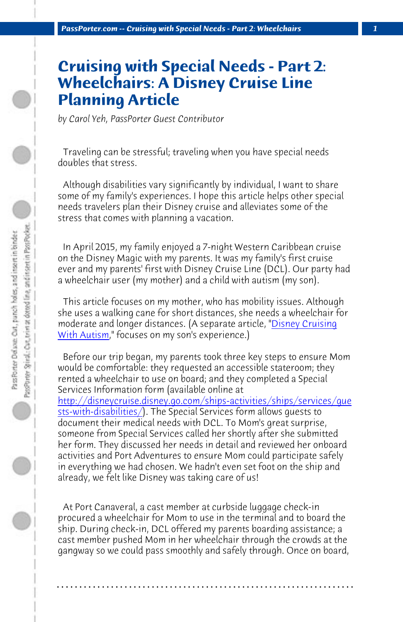*PassPorter.com -- Cruising with Special Needs - Part 2: Wheelchairs 1*

## **Cruising with Special Needs - Part 2: Wheelchairs: A Disney Cruise Line Planning Article**

*by Carol Yeh, PassPorter Guest Contributor*

 [Traveling ca](http://www.passporter.com/articles/disney-cruise-with-autism.html)n be stressful; traveling when you have special needs doubles that stress.

 Although disabilities vary significantly by individual, I want to share some of my family's experiences. I hope this article helps other special needs travelers plan their Disney cruise and alleviates some of the [stress that comes with planning a vacation.](http://disneycruise.disney.go.com/ships-activities/ships/services/guests-with-disabilities/)

 In April 2015, my family enjoyed a 7-night Western Caribbean cruise on the Disney Magic with my parents. It was my family's first cruise ever and my parents' first with Disney Cruise Line (DCL). Our party had a wheelchair user (my mother) and a child with autism (my son).

 This article focuses on my mother, who has mobility issues. Although she uses a walking cane for short distances, she needs a wheelchair for moderate and longer distances. (A separate article, "Disney Cruising With Autism," focuses on my son's experience.)

 Before our trip began, my parents took three key steps to ensure Mom would be comfortable: they requested an accessible stateroom; they rented a wheelchair to use on board; and they completed a Special Services Information form (available online at http://disneycruise.disney.go.com/ships-activities/ships/services/gue sts-with-disabilities/). The Special Services form allows guests to document their medical needs with DCL. To Mom's great surprise, someone from Special Services called her shortly after she submitted her form. They discussed her needs in detail and reviewed her onboard activities and Port Adventures to ensure Mom could participate safely in everything we had chosen. We hadn't even set foot on the ship and already, we felt like Disney was taking care of us!

 At Port Canaveral, a cast member at curbside luggage check-in procured a wheelchair for Mom to use in the terminal and to board the ship. During check-in, DCL offered my parents boarding assistance; a cast member pushed Mom in her wheelchair through the crowds at the gangway so we could pass smoothly and safely through. Once on board,

**. . . . . . . . . . . . . . . . . . . . . . . . . . . . . . . . . . . . . . . . . . . . . . . . . . . . . . . . . . . . . . . . . .**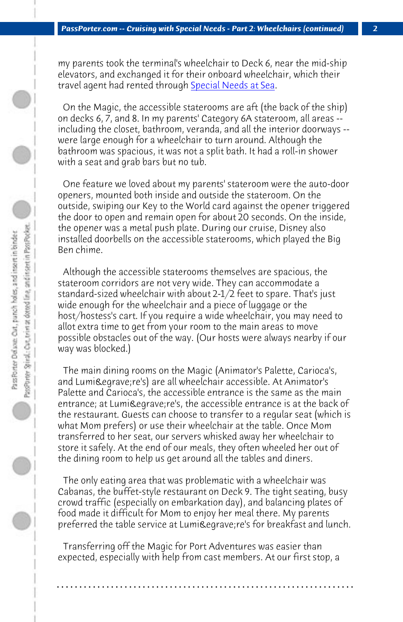*PassPorter.com -- Cruising with Special Needs - Part 2: Wheelchairs (continued) 2*

my parents took the terminal's wheelchair to Deck 6, near the mid-ship elevators, and exchanged it for their onboard wheelchair, which their travel agent had rented through Special Needs at Sea.

 On the Magic, the accessible staterooms are aft (the back of the ship) on decks 6, 7, and 8. In my parents' Category 6A stateroom, all areas - including the closet, bathroom, veranda, and all the interior doorways - were large enough for a wheelchair to turn around. Although the bathroom was spacious, it was not a split bath. It had a roll-in shower with a seat and grab bars but no tub.

 One feature we loved about my parents' stateroom were the auto-door openers, mounted both inside and outside the stateroom. On the outside, swiping our Key to the World card against the opener triggered the door to open and remain open for about 20 seconds. On the inside, the opener was a metal push plate. During our cruise, Disney also installed doorbells on the accessible staterooms, which played the Big Ben chime.

 Although the accessible staterooms themselves are spacious, the stateroom corridors are not very wide. They can accommodate a standard-sized wheelchair with about 2-1/2 feet to spare. That's just wide enough for the wheelchair and a piece of luggage or the host/hostess's cart. If you require a wide wheelchair, you may need to allot extra time to get from your room to the main areas to move possible obstacles out of the way. (Our hosts were always nearby if our way was blocked.)

 The main dining rooms on the Magic (Animator's Palette, Carioca's, and Lumière's) are all wheelchair accessible. At Animator's Palette and Carioca's, the accessible entrance is the same as the main entrance; at Lumière's, the accessible entrance is at the back of the restaurant. Guests can choose to transfer to a regular seat (which is what Mom prefers) or use their wheelchair at the table. Once Mom transferred to her seat, our servers whisked away her wheelchair to store it safely. At the end of our meals, they often wheeled her out of the dining room to help us get around all the tables and diners.

 The only eating area that was problematic with a wheelchair was Cabanas, the buffet-style restaurant on Deck 9. The tight seating, busy crowd traffic (especially on embarkation day), and balancing plates of food made it difficult for Mom to enjoy her meal there. My parents preferred the table service at Lumiè re's for breakfast and lunch.

 Transferring off the Magic for Port Adventures was easier than expected, especially with help from cast members. At our first stop, a

**. . . . . . . . . . . . . . . . . . . . . . . . . . . . . . . . . . . . . . . . . . . . . . . . . . . . . . . . . . . . . . . . . .**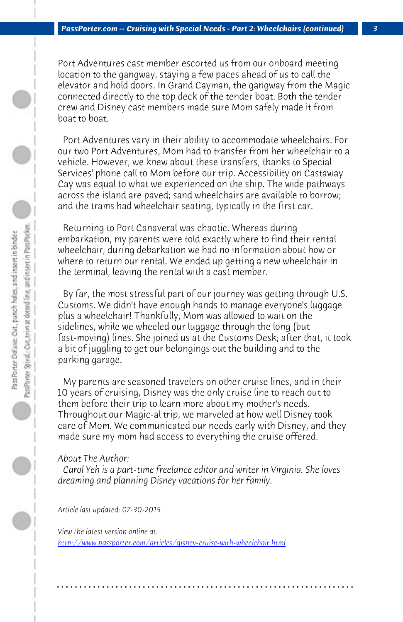*PassPorter.com -- Cruising with Special Needs - Part 2: Wheelchairs (continued) 3*

Port Adventures cast member escorted us from our onboard meeting location to the gangway, staying a few paces ahead of us to call the elevator and hold doors. In Grand Cayman, the gangway from the Magic connected directly to the top deck of the tender boat. Both the tender crew and Disney cast members made sure Mom safely made it from boat to boat.

 Port Adventures vary in their ability to accommodate wheelchairs. For our two Port Adventures, Mom had to transfer from her wheelchair to a vehicle. However, we knew about these transfers, thanks to Special Services' phone call to Mom before our trip. Accessibility on Castaway Cay was equal to what we experienced on the ship. The wide pathways across the island are paved; sand wheelchairs are available to borrow; and the trams had wheelchair seating, typically in the first car.

 Returning to Port Canaveral was chaotic. Whereas during embarkation, my parents were told exactly where to find their rental wheelchair, during debarkation we had no information about how or where to return our rental. We ended up getting a new wheelchair in the terminal, leaving the rental with a cast member.

 By far, the most stressful part of our journey was getting through U.S. Customs. We didn't have enough hands to manage everyone's luggage plus a wheelchair! Thankfully, Mom was allowed to wait on the sidelines, while we wheeled our luggage through the long (but fast-moving) lines. She joined us at the Customs Desk; after that, it took a bit of juggling to get our belongings out the building and to the [parking garage.](http://www.passporter.com/articles/disney-cruise-with-wheelchair.php)

 My parents are seasoned travelers on other cruise lines, and in their 10 years of cruising, Disney was the only cruise line to reach out to them before their trip to learn more about my mother's needs. Throughout our Magic-al trip, we marveled at how well Disney took care of Mom. We communicated our needs early with Disney, and they made sure my mom had access to everything the cruise offered.

## *About The Author:*

 *Carol Yeh is a part-time freelance editor and writer in Virginia. She loves dreaming and planning Disney vacations for her family.*

**. . . . . . . . . . . . . . . . . . . . . . . . . . . . . . . . . . . . . . . . . . . . . . . . . . . . . . . . . . . . . . . . . .**

*Article last updated: 07-30-2015*

*View the latest version online at: http://www.passporter.com/articles/disney-cruise-with-wheelchair.html*